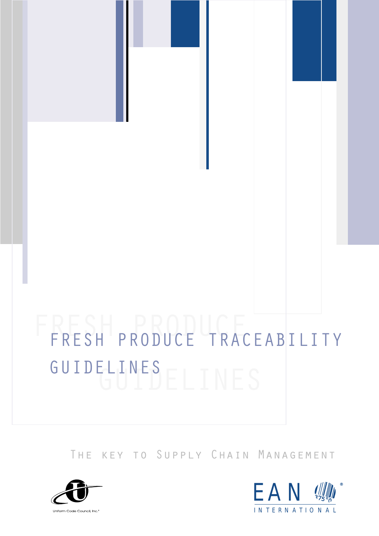# FRESH PRODUCE GUIDELINES GUIDELINES FRESH PRODUCE TRACEABILITY

The key to Supply Chain Management



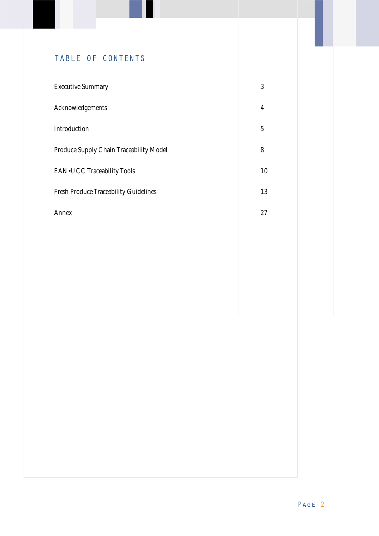# TABLE OF CONTENTS

| <b>Executive Summary</b>                     | 3  |
|----------------------------------------------|----|
| Acknowledgements                             | 4  |
| Introduction                                 | 5  |
| Produce Supply Chain Traceability Model      | 8  |
| <b>EAN•UCC Traceability Tools</b>            | 10 |
| <b>Fresh Produce Traceability Guidelines</b> | 13 |
| Annex                                        | 27 |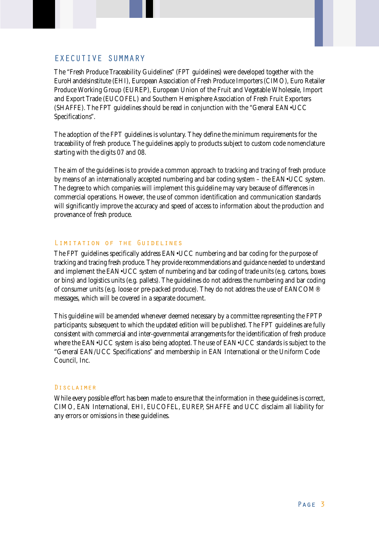# EXECUTIVE SUMMARY

The "Fresh Produce Traceability Guidelines" (FPT guidelines) were developed together with the EuroHandelsinstitute (EHI), European Association of Fresh Produce Importers (CIMO), Euro Retailer Produce Working Group (EUREP), European Union of the Fruit and Vegetable Wholesale, Import and Export Trade (EUCOFEL) and Southern Hemisphere Association of Fresh Fruit Exporters (SHAFFE). The FPT guidelines should be read in conjunction with the "General EAN•UCC Specifications".

The adoption of the FPT guidelines is voluntary. They define the minimum requirements for the traceability of fresh produce. The guidelines apply to products subject to custom code nomenclature starting with the digits 07 and 08.

The aim of the guidelines is to provide a common approach to tracking and tracing of fresh produce by means of an internationally accepted numbering and bar coding system – the EAN•UCC system. The degree to which companies will implement this guideline may vary because of differences in commercial operations. However, the use of common identification and communication standards will significantly improve the accuracy and speed of access to information about the production and provenance of fresh produce.

# Limitation of the Guidelines

The FPT guidelines specifically address EAN•UCC numbering and bar coding for the purpose of tracking and tracing fresh produce. They provide recommendations and guidance needed to understand and implement the EAN•UCC system of numbering and bar coding of trade units (e.g. cartons, boxes or bins) and logistics units (e.g. pallets). The guidelines do not address the numbering and bar coding of consumer units (e.g. loose or pre-packed produce). They do not address the use of EANCOM® messages, which will be covered in a separate document.

This guideline will be amended whenever deemed necessary by a committee representing the FPTP participants; subsequent to which the updated edition will be published. The FPT guidelines are fully consistent with commercial and inter-governmental arrangements for the identification of fresh produce where the EAN•UCC system is also being adopted. The use of EAN•UCC standards is subject to the "General EAN/UCC Specifications" and membership in EAN International or the Uniform Code Council, Inc.

#### Disclaimer

While every possible effort has been made to ensure that the information in these guidelines is correct, CIMO, EAN International, EHI, EUCOFEL, EUREP, SHAFFE and UCC disclaim all liability for any errors or omissions in these guidelines.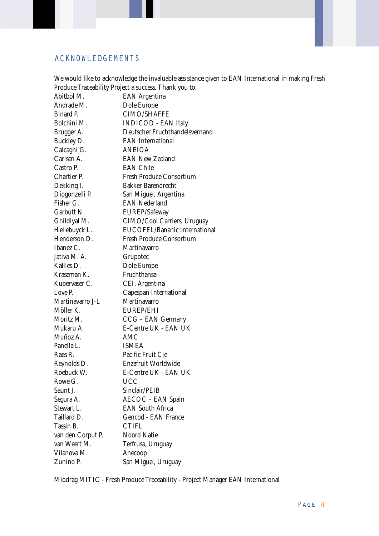# ACKNOWLEDGEMENTS

|                                                                                                                                             | We would like to acknowledge the invaluable assistance given to EAN International in making Fresh                                                                                                                                |
|---------------------------------------------------------------------------------------------------------------------------------------------|----------------------------------------------------------------------------------------------------------------------------------------------------------------------------------------------------------------------------------|
|                                                                                                                                             | Produce Traceability Project a success. Thank you to:                                                                                                                                                                            |
| Abitbol M.                                                                                                                                  | <b>EAN Argentina</b>                                                                                                                                                                                                             |
| Andrade M.                                                                                                                                  | Dole Europe                                                                                                                                                                                                                      |
| Binard P.                                                                                                                                   | <b>CIMO/SHAFFE</b>                                                                                                                                                                                                               |
| Bolchini M.                                                                                                                                 | <b>INDICOD - EAN Italy</b>                                                                                                                                                                                                       |
| Brugger A.                                                                                                                                  | Deutscher Fruchthandelsvernand                                                                                                                                                                                                   |
| Buckley D.                                                                                                                                  | <b>EAN</b> International                                                                                                                                                                                                         |
| Calcagni G.                                                                                                                                 | <b>ANEIOA</b>                                                                                                                                                                                                                    |
| Carlsen A.                                                                                                                                  | <b>EAN New Zealand</b>                                                                                                                                                                                                           |
| Castro P.                                                                                                                                   | <b>EAN Chile</b>                                                                                                                                                                                                                 |
| <b>Chartier P.</b>                                                                                                                          | Fresh Produce Consortium                                                                                                                                                                                                         |
| Dekking I.                                                                                                                                  | <b>Bakker Barendrecht</b>                                                                                                                                                                                                        |
| Diogonzelli P.                                                                                                                              | San Miguel, Argentina                                                                                                                                                                                                            |
| Fisher G.                                                                                                                                   | <b>EAN Nederland</b>                                                                                                                                                                                                             |
| Garbutt N.                                                                                                                                  | EUREP/Safeway                                                                                                                                                                                                                    |
| Ghildiyal M.                                                                                                                                | CIMO/Cool Carriers, Uruguay                                                                                                                                                                                                      |
| Hellebuyck L.                                                                                                                               | EUCOFEL/Bananic International                                                                                                                                                                                                    |
| Henderson D.                                                                                                                                | <b>Fresh Produce Consortium</b>                                                                                                                                                                                                  |
| Ibanez C.                                                                                                                                   | Martinavarro                                                                                                                                                                                                                     |
| Jativa M. A.                                                                                                                                | Grupotec                                                                                                                                                                                                                         |
| Kallies D.                                                                                                                                  | Dole Europe                                                                                                                                                                                                                      |
| Kraseman K.                                                                                                                                 | Fruchthansa                                                                                                                                                                                                                      |
| Kupervaser C.                                                                                                                               | CEI, Argentina                                                                                                                                                                                                                   |
| Love P.                                                                                                                                     | Capespan International                                                                                                                                                                                                           |
| Martinavarro J-L                                                                                                                            | Martinavarro                                                                                                                                                                                                                     |
| Möller K.                                                                                                                                   | <b>EUREP/EHI</b>                                                                                                                                                                                                                 |
| Moritz M.                                                                                                                                   |                                                                                                                                                                                                                                  |
| Mukaru A.                                                                                                                                   | E-Centre UK - EAN UK                                                                                                                                                                                                             |
| Muñoz A.                                                                                                                                    | AMC                                                                                                                                                                                                                              |
| Panella L.                                                                                                                                  | <b>ISMEA</b>                                                                                                                                                                                                                     |
| Raes R.                                                                                                                                     | Pacific Fruit Cie                                                                                                                                                                                                                |
|                                                                                                                                             |                                                                                                                                                                                                                                  |
|                                                                                                                                             |                                                                                                                                                                                                                                  |
|                                                                                                                                             |                                                                                                                                                                                                                                  |
|                                                                                                                                             |                                                                                                                                                                                                                                  |
|                                                                                                                                             |                                                                                                                                                                                                                                  |
| Stewart L.                                                                                                                                  | <b>EAN South Africa</b>                                                                                                                                                                                                          |
| Taillard D.                                                                                                                                 |                                                                                                                                                                                                                                  |
|                                                                                                                                             |                                                                                                                                                                                                                                  |
|                                                                                                                                             | Noord Natie                                                                                                                                                                                                                      |
|                                                                                                                                             |                                                                                                                                                                                                                                  |
|                                                                                                                                             |                                                                                                                                                                                                                                  |
|                                                                                                                                             |                                                                                                                                                                                                                                  |
| Reynolds D.<br>Roebuck W.<br>Rowe G.<br>Saunt J.<br>Segura A.<br>Tassin B.<br>van den Corput P.<br>van Weert M.<br>Vilanova M.<br>Zunino P. | CCG - EAN Germany<br>Enzafruit Worldwide<br>E-Centre UK - EAN UK<br><b>UCC</b><br>Sinclair/PEIB<br><b>AECOC - EAN Spain</b><br><b>Gencod - EAN France</b><br><b>CTIFL</b><br>Terfrusa, Uruguay<br>Anecoop<br>San Miguel, Uruguay |

Miodrag MITIC - Fresh Produce Traceability - Project Manager EAN International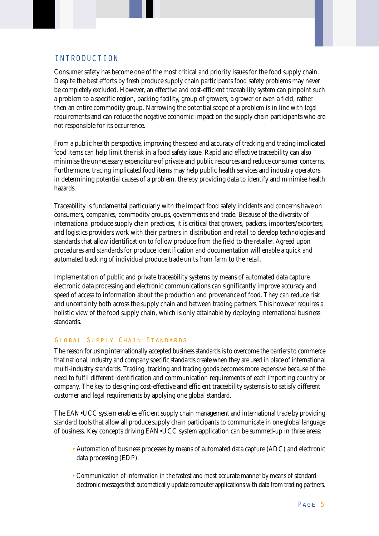# INTRODUCTION

Consumer safety has become one of the most critical and priority issues for the food supply chain. Despite the best efforts by fresh produce supply chain participants food safety problems may never be completely excluded. However, an effective and cost-efficient traceability system can pinpoint such a problem to a specific region, packing facility, group of growers, a grower or even a field, rather then an entire commodity group. Narrowing the potential scope of a problem is in line with legal requirements and can reduce the negative economic impact on the supply chain participants who are not responsible for its occurrence.

From a public health perspective, improving the speed and accuracy of tracking and tracing implicated food items can help limit the risk in a food safety issue. Rapid and effective traceability can also minimise the unnecessary expenditure of private and public resources and reduce consumer concerns. Furthermore, tracing implicated food items may help public health services and industry operators in determining potential causes of a problem, thereby providing data to identify and minimise health hazards.

Traceability is fundamental particularly with the impact food safety incidents and concerns have on consumers, companies, commodity groups, governments and trade. Because of the diversity of international produce supply chain practices, it is critical that growers, packers, importers/exporters, and logistics providers work with their partners in distribution and retail to develop technologies and standards that allow identification to follow produce from the field to the retailer. Agreed upon procedures and standards for produce identification and documentation will enable a quick and automated tracking of individual produce trade units from farm to the retail.

Implementation of public and private traceability systems by means of automated data capture, electronic data processing and electronic communications can significantly improve accuracy and speed of access to information about the production and provenance of food. They can reduce risk and uncertainty both across the supply chain and between trading partners. This however requires a holistic view of the food supply chain, which is only attainable by deploying international business standards.

# Global Supply Chain Standards

The reason for using internationally accepted business standards is to overcome the barriers to commerce that national, industry and company specific standards create when they are used in place of international multi-industry standards. Trading, tracking and tracing goods becomes more expensive because of the need to fulfil different identification and communication requirements of each importing country or company. The key to designing cost-effective and efficient traceability systems is to satisfy different customer and legal requirements by applying one global standard.

The EAN•UCC system enables efficient supply chain management and international trade by providing standard tools that allow all produce supply chain participants to communicate in one global language of business. Key concepts driving EAN•UCC system application can be summed-up in three areas:

- Automation of business processes by means of automated data capture (ADC) and electronic data processing (EDP).
- Communication of information in the fastest and most accurate manner by means of standard electronic messages that automatically update computer applications with data from trading partners.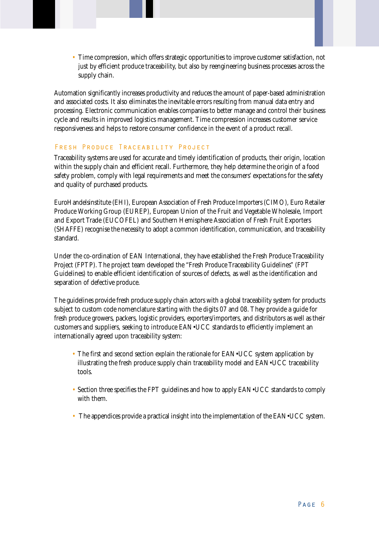• Time compression, which offers strategic opportunities to improve customer satisfaction, not just by efficient produce traceability, but also by reengineering business processes across the supply chain.

Automation significantly increases productivity and reduces the amount of paper-based administration and associated costs. It also eliminates the inevitable errors resulting from manual data entry and processing. Electronic communication enables companies to better manage and control their business cycle and results in improved logistics management. Time compression increases customer service responsiveness and helps to restore consumer confidence in the event of a product recall.

# FRESH PRODUCE TRACEABILITY PROJECT

Traceability systems are used for accurate and timely identification of products, their origin, location within the supply chain and efficient recall. Furthermore, they help determine the origin of a food safety problem, comply with legal requirements and meet the consumers' expectations for the safety and quality of purchased products.

EuroHandelsinstitute (EHI), European Association of Fresh Produce Importers (CIMO), Euro Retailer Produce Working Group (EUREP), European Union of the Fruit and Vegetable Wholesale, Import and Export Trade (EUCOFEL) and Southern Hemisphere Association of Fresh Fruit Exporters (SHAFFE) recognise the necessity to adopt a common identification, communication, and traceability standard.

Under the co-ordination of EAN International, they have established the Fresh Produce Traceability Project (FPTP). The project team developed the "Fresh Produce Traceability Guidelines" (FPT Guidelines) to enable efficient identification of sources of defects, as well as the identification and separation of defective produce.

The guidelines provide fresh produce supply chain actors with a global traceability system for products subject to custom code nomenclature starting with the digits 07 and 08. They provide a guide for fresh produce growers, packers, logistic providers, exporters/importers, and distributors as well as their customers and suppliers, seeking to introduce EAN•UCC standards to efficiently implement an internationally agreed upon traceability system:

- The first and second section explain the rationale for EAN•UCC system application by illustrating the fresh produce supply chain traceability model and EAN•UCC traceability tools.
- Section three specifies the FPT guidelines and how to apply EAN•UCC standards to comply with them.
- The appendices provide a practical insight into the implementation of the EAN•UCC system.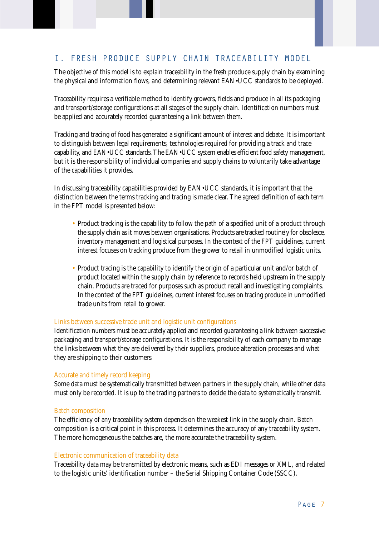# I. FRESH PRODUCE SUPPLY CHAIN TRACEABILITY MODEL

The objective of this model is to explain traceability in the fresh produce supply chain by examining the physical and information flows, and determining relevant EAN•UCC standards to be deployed.

Traceability requires a verifiable method to identify growers, fields and produce in all its packaging and transport/storage configurations at all stages of the supply chain. Identification numbers must be applied and accurately recorded guaranteeing a link between them.

Tracking and tracing of food has generated a significant amount of interest and debate. It is important to distinguish between legal requirements, technologies required for providing a track and trace capability, and EAN•UCC standards. The EAN•UCC system enables efficient food safety management, but it is the responsibility of individual companies and supply chains to voluntarily take advantage of the capabilities it provides.

In discussing traceability capabilities provided by EAN•UCC standards, it is important that the distinction between the terms tracking and tracing is made clear. The agreed definition of each term in the FPT model is presented below:

- Product tracking is the capability to follow the path of a specified unit of a product through the supply chain as it moves between organisations. Products are tracked routinely for obsolesce, inventory management and logistical purposes. In the context of the FPT guidelines, current interest focuses on tracking produce from the grower to retail in unmodified logistic units.
- Product tracing is the capability to identify the origin of a particular unit and/or batch of product located within the supply chain by reference to records held upstream in the supply chain. Products are traced for purposes such as product recall and investigating complaints. In the context of the FPT guidelines, current interest focuses on tracing produce in unmodified trade units from retail to grower.

#### Links between successive trade unit and logistic unit configurations

Identification numbers must be accurately applied and recorded guaranteeing a link between successive packaging and transport/storage configurations. It is the responsibility of each company to manage the links between what they are delivered by their suppliers, produce alteration processes and what they are shipping to their customers.

# Accurate and timely record keeping

Some data must be systematically transmitted between partners in the supply chain, while other data must only be recorded. It is up to the trading partners to decide the data to systematically transmit.

# Batch composition

The efficiency of any traceability system depends on the weakest link in the supply chain. Batch composition is a critical point in this process. It determines the accuracy of any traceability system. The more homogeneous the batches are, the more accurate the traceability system.

#### Electronic communication of traceability data

Traceability data may be transmitted by electronic means, such as EDI messages or XML, and related to the logistic units' identification number – the Serial Shipping Container Code (SSCC).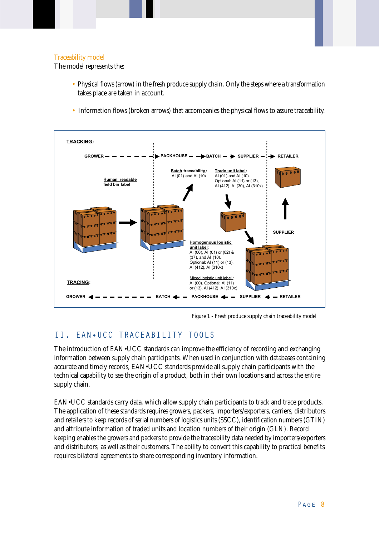# Traceability model

The model represents the:

- Physical flows (arrow) in the fresh produce supply chain. Only the steps where a transformation takes place are taken in account.
- Information flows (broken arrows) that accompanies the physical flows to assure traceability.



Figure 1 - Fresh produce supply chain traceability model

# II. EAN•UCC TRACEABILITY TOOLS

The introduction of EAN•UCC standards can improve the efficiency of recording and exchanging information between supply chain participants. When used in conjunction with databases containing accurate and timely records, EAN•UCC standards provide all supply chain participants with the technical capability to see the origin of a product, both in their own locations and across the entire supply chain.

EAN•UCC standards carry data, which allow supply chain participants to track and trace products. The application of these standards requires growers, packers, importers/exporters, carriers, distributors and retailers to keep records of serial numbers of logistics units (SSCC), identification numbers (GTIN) and attribute information of traded units and location numbers of their origin (GLN). Record keeping enables the growers and packers to provide the traceability data needed by importers/exporters and distributors, as well as their customers. The ability to convert this capability to practical benefits requires bilateral agreements to share corresponding inventory information.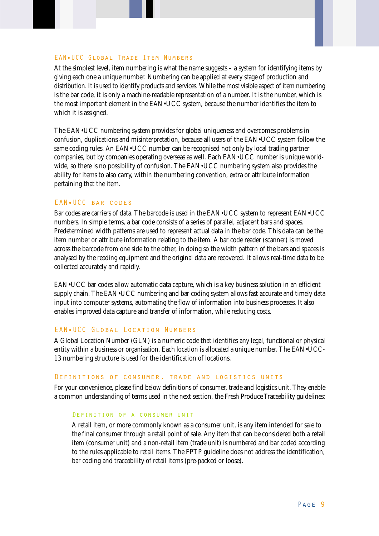#### EAN•UCC Global Trade Item Numbers

At the simplest level, item numbering is what the name suggests – a system for identifying items by giving each one a unique number. Numbering can be applied at every stage of production and distribution. It is used to identify products and services. While the most visible aspect of item numbering is the bar code, it is only a machine-readable representation of a number. It is the number, which is the most important element in the EAN•UCC system, because the number identifies the item to which it is assigned.

The EAN•UCC numbering system provides for global uniqueness and overcomes problems in confusion, duplications and misinterpretation, because all users of the EAN•UCC system follow the same coding rules. An EAN•UCC number can be recognised not only by local trading partner companies, but by companies operating overseas as well. Each EAN•UCC number is unique worldwide, so there is no possibility of confusion. The EAN•UCC numbering system also provides the ability for items to also carry, within the numbering convention, extra or attribute information pertaining that the item.

#### EAN•UCC bar codes

Bar codes are carriers of data. The barcode is used in the EAN•UCC system to represent EAN•UCC numbers. In simple terms, a bar code consists of a series of parallel, adjacent bars and spaces. Predetermined width patterns are used to represent actual data in the bar code. This data can be the item number or attribute information relating to the item. A bar code reader (scanner) is moved across the barcode from one side to the other, in doing so the width pattern of the bars and spaces is analysed by the reading equipment and the original data are recovered. It allows real-time data to be collected accurately and rapidly.

EAN•UCC bar codes allow automatic data capture, which is a key business solution in an efficient supply chain. The EAN•UCC numbering and bar coding system allows fast accurate and timely data input into computer systems, automating the flow of information into business processes. It also enables improved data capture and transfer of information, while reducing costs.

# EAN•UCC Global Location Numbers

A Global Location Number (GLN) is a numeric code that identifies any legal, functional or physical entity within a business or organisation. Each location is allocated a unique number. The EAN•UCC-13 numbering structure is used for the identification of locations.

#### Definitions of consumer, trade and logistics units

For your convenience, please find below definitions of consumer, trade and logistics unit. They enable a common understanding of terms used in the next section, the Fresh Produce Traceability guidelines:

#### Definition of a consumer unit

A retail item, or more commonly known as a consumer unit, is any item intended for sale to the final consumer through a retail point of sale. Any item that can be considered both a retail item (consumer unit) and a non-retail item (trade unit) is numbered and bar coded according to the rules applicable to retail items. The FPTP guideline does not address the identification, bar coding and traceability of retail items (pre-packed or loose).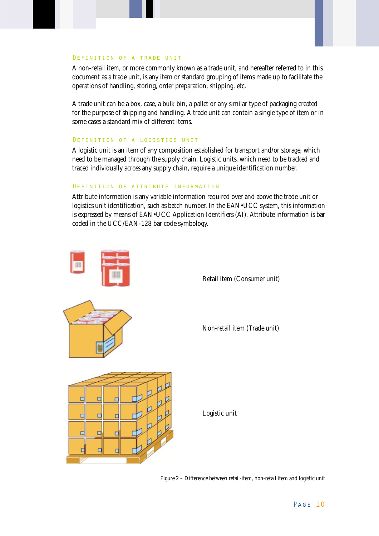#### Definition of a trade unit

A non-retail item, or more commonly known as a trade unit, and hereafter referred to in this document as a trade unit, is any item or standard grouping of items made up to facilitate the operations of handling, storing, order preparation, shipping, etc.

A trade unit can be a box, case, a bulk bin, a pallet or any similar type of packaging created for the purpose of shipping and handling. A trade unit can contain a single type of item or in some cases a standard mix of different items.

#### Definition of a logistics unit

A logistic unit is an item of any composition established for transport and/or storage, which need to be managed through the supply chain. Logistic units, which need to be tracked and traced individually across any supply chain, require a unique identification number.

#### Definition of attribute information

Attribute information is any variable information required over and above the trade unit or logistics unit identification, such as batch number. In the EAN•UCC system, this information is expressed by means of EAN•UCC Application Identifiers (AI). Attribute information is bar coded in the UCC/EAN-128 bar code symbology.



Figure 2 – Difference between retail-item, non-retail item and logistic unit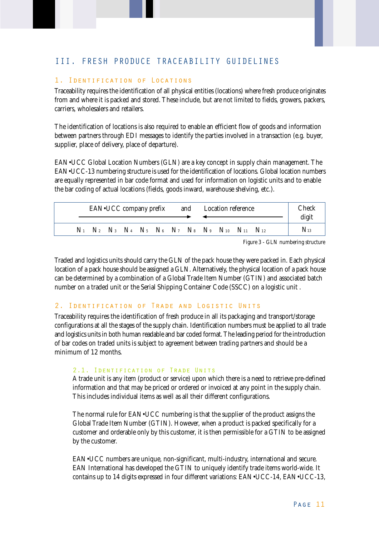# III. FRESH PRODUCE TRACEABILITY GUIDELINES

# 1. Identification of Locations

Traceability requires the identification of all physical entities (locations) where fresh produce originates from and where it is packed and stored. These include, but are not limited to fields, growers, packers, carriers, wholesalers and retailers.

The identification of locations is also required to enable an efficient flow of goods and information between partners through EDI messages to identify the parties involved in a transaction (e.g. buyer, supplier, place of delivery, place of departure).

EAN•UCC Global Location Numbers (GLN) are a key concept in supply chain management. The EAN•UCC-13 numbering structure is used for the identification of locations. Global location numbers are equally represented in bar code format and used for information on logistic units and to enable the bar coding of actual locations (fields, goods inward, warehouse shelving, etc.).

| EAN•UCC company prefix |  |  |  |  |  | and Location reference |                                                                                  | Check<br>digit |                 |
|------------------------|--|--|--|--|--|------------------------|----------------------------------------------------------------------------------|----------------|-----------------|
|                        |  |  |  |  |  |                        | $N_1$ $N_2$ $N_3$ $N_4$ $N_5$ $N_6$ $N_7$ $N_8$ $N_9$ $N_{10}$ $N_{11}$ $N_{12}$ |                | $\rm N_{^{13}}$ |

Figure 3 - GLN numbering structure

Traded and logistics units should carry the GLN of the pack house they were packed in. Each physical location of a pack house should be assigned a GLN. Alternatively, the physical location of a pack house can be determined by a combination of a Global Trade Item Number (GTIN) and associated batch number on a traded unit or the Serial Shipping Container Code (SSCC) on a logistic unit .

#### 2. Identification of Trade and Logistic Units

Traceability requires the identification of fresh produce in all its packaging and transport/storage configurations at all the stages of the supply chain. Identification numbers must be applied to all trade and logistics units in both human readable and bar coded format. The leading period for the introduction of bar codes on traded units is subject to agreement between trading partners and should be a minimum of 12 months.

# 2.1. Identification of Trade Units

A trade unit is any item (product or service) upon which there is a need to retrieve pre-defined information and that may be priced or ordered or invoiced at any point in the supply chain. This includes individual items as well as all their different configurations.

The normal rule for EAN•UCC numbering is that the supplier of the product assigns the Global Trade Item Number (GTIN). However, when a product is packed specifically for a customer and orderable only by this customer, it is then permissible for a GTIN to be assigned by the customer.

EAN•UCC numbers are unique, non-significant, multi-industry, international and secure. EAN International has developed the GTIN to uniquely identify trade items world-wide. It contains up to 14 digits expressed in four different variations: EAN•UCC-14, EAN•UCC-13,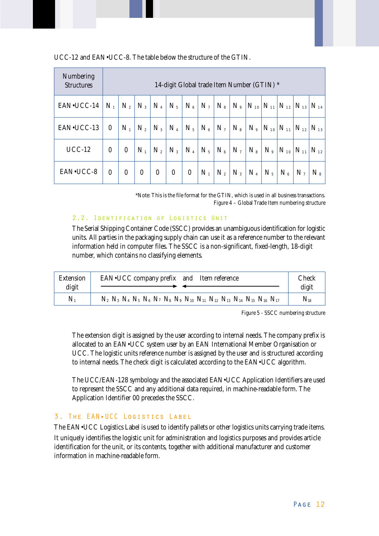| Numbering<br><b>Structures</b> |          | 14-digit Global trade Item Number (GTIN) * |                  |                  |          |                  |         |         |         |           |         |                                  |                                                      |          |
|--------------------------------|----------|--------------------------------------------|------------------|------------------|----------|------------------|---------|---------|---------|-----------|---------|----------------------------------|------------------------------------------------------|----------|
| EAN•UCC-14                     | $N_{1}$  | $N_{2}$                                    | $N_3$            | $N_4$            | $N_{5}$  | $N_{6}$          | $N_{7}$ | $N_{s}$ |         |           |         |                                  | $N_{9}$ $N_{10}$ $N_{11}$ $N_{12}$ $N_{13}$ $N_{14}$ |          |
| EAN•UCC-13                     | $\Omega$ | $N_{1}$                                    | $N_{2}$          | $N_3$            | $N_{4}$  | $N_5$            | $N_{6}$ | $N_{7}$ | $N_{s}$ |           |         | $N_9   N_{10}   N_{11}   N_{12}$ |                                                      | $N_{13}$ |
| $UCC-12$                       | $\theta$ | $\boldsymbol{0}$                           | $N_{1}$          | $N_{2}$          | $N_{3}$  | $N_{4}$          | $N_5$   | $N_{6}$ | $N_{7}$ | $N_{s}$   | $N_{9}$ | $ N_{10} $                       | $N_{11}$                                             | $N_{12}$ |
| EAN•UCC-8                      | $\theta$ | $\boldsymbol{0}$                           | $\boldsymbol{0}$ | $\boldsymbol{0}$ | $\bf{0}$ | $\boldsymbol{0}$ | $N_1$   | $N_{2}$ | $N_3$   | $\rm N_4$ | $N_{5}$ | $N_{6}$                          | N <sub>7</sub>                                       | $N_{8}$  |

UCC-12 and EAN•UCC-8. The table below the structure of the GTIN.

\*Note: This is the file format for the GTIN, which is used in all business transactions. Figure 4 – Global Trade Item numbering structure

#### 2.2. Identification of Logistics Unit

The Serial Shipping Container Code (SSCC) provides an unambiguous identification for logistic units. All parties in the packaging supply chain can use it as a reference number to the relevant information held in computer files. The SSCC is a non-significant, fixed-length, 18-digit number, which contains no classifying elements.

| <b>Extension</b><br>digit | EAN•UCC company prefix and Item reference                                                                               | Check<br>digit    |
|---------------------------|-------------------------------------------------------------------------------------------------------------------------|-------------------|
| $N_{1}$                   | $N_2$ $N_3$ $N_4$ $N_5$ $N_6$ $N_7$ $N_8$ $N_9$ $N_{10}$ $N_{11}$ $N_{12}$ $N_{13}$ $N_{14}$ $N_{15}$ $N_{16}$ $N_{17}$ | $\mathrm{N_{18}}$ |

Figure 5 - SSCC numbering structure

The extension digit is assigned by the user according to internal needs. The company prefix is allocated to an EAN•UCC system user by an EAN International Member Organisation or UCC. The logistic units reference number is assigned by the user and is structured according to internal needs. The check digit is calculated according to the EAN•UCC algorithm.

The UCC/EAN-128 symbology and the associated EAN•UCC Application Identifiers are used to represent the SSCC and any additional data required, in machine-readable form. The Application Identifier 00 precedes the SSCC.

# 3. The EAN•UCC Logistics Label

The EAN•UCC Logistics Label is used to identify pallets or other logistics units carrying trade items. It uniquely identifies the logistic unit for administration and logistics purposes and provides article identification for the unit, or its contents, together with additional manufacturer and customer information in machine-readable form.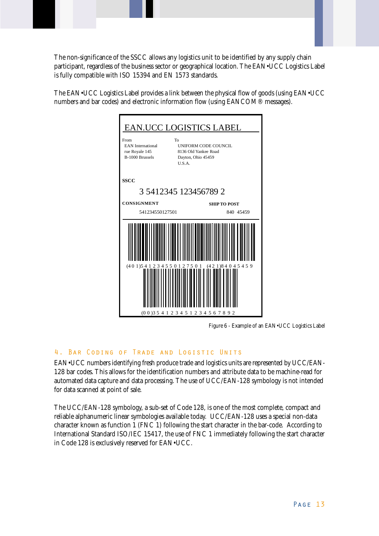The non-significance of the SSCC allows any logistics unit to be identified by any supply chain participant, regardless of the business sector or geographical location. The EAN•UCC Logistics Label is fully compatible with ISO 15394 and EN 1573 standards.

The EAN•UCC Logistics Label provides a link between the physical flow of goods (using EAN•UCC numbers and bar codes) and electronic information flow (using EANCOM® messages).



Figure 6 - Example of an EAN•UCC Logistics Label

# 4. Bar Coding of Trade and Logistic Units

EAN•UCC numbers identifying fresh produce trade and logistics units are represented by UCC/EAN-128 bar codes. This allows for the identification numbers and attribute data to be machine-read for automated data capture and data processing. The use of UCC/EAN-128 symbology is not intended for data scanned at point of sale.

The UCC/EAN-128 symbology, a sub-set of Code 128, is one of the most complete, compact and reliable alphanumeric linear symbologies available today. UCC/EAN-128 uses a special non-data character known as function 1 (FNC 1) following the start character in the bar-code. According to International Standard ISO/IEC 15417, the use of FNC 1 immediately following the start character in Code 128 is exclusively reserved for EAN•UCC.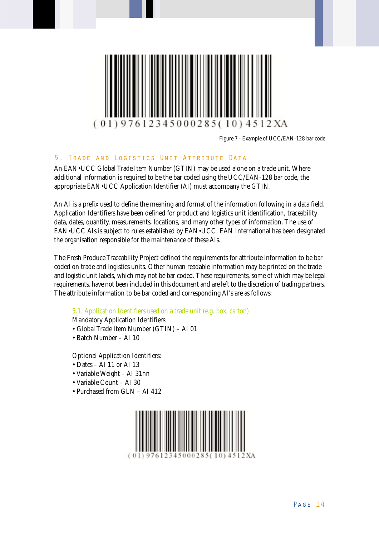

Figure 7 - Example of UCC/EAN-128 bar code

# 5. Trade and Logistics Unit Attribute Data

An EAN•UCC Global Trade Item Number (GTIN) may be used alone on a trade unit. Where additional information is required to be the bar coded using the UCC/EAN-128 bar code, the appropriate EAN•UCC Application Identifier (AI) must accompany the GTIN.

An AI is a prefix used to define the meaning and format of the information following in a data field. Application Identifiers have been defined for product and logistics unit identification, traceability data, dates, quantity, measurements, locations, and many other types of information. The use of EAN•UCC AIs is subject to rules established by EAN•UCC. EAN International has been designated the organisation responsible for the maintenance of these AIs.

The Fresh Produce Traceability Project defined the requirements for attribute information to be bar coded on trade and logistics units. Other human readable information may be printed on the trade and logistic unit labels, which may not be bar coded. These requirements, some of which may be legal requirements, have not been included in this document and are left to the discretion of trading partners. The attribute information to be bar coded and corresponding AI's are as follows:

# 5.1. Application Identifiers used on a trade unit (e.g. box, carton)

Mandatory Application Identifiers:

- Global Trade Item Number (GTIN) AI 01
- Batch Number AI 10

Optional Application Identifiers:

- Dates AI 11 or AI 13
- Variable Weight AI 31nn
- Variable Count AI 30
- Purchased from GLN AI 412

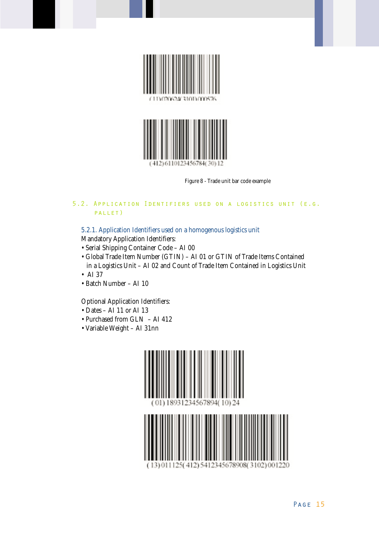

Figure 8 - Trade unit bar code example

# 5.2. Application Identifiers used on a logistics unit (e.g. pallet)

5.2.1. Application Identifiers used on a homogenous logistics unit

Mandatory Application Identifiers:

- Serial Shipping Container Code AI 00
- Global Trade Item Number (GTIN) AI 01 or GTIN of Trade Items Contained in a Logistics Unit – AI 02 and Count of Trade Item Contained in Logistics Unit
- AI 37
- Batch Number AI 10

Optional Application Identifiers:

- Dates AI 11 or AI 13
- Purchased from GLN AI 412
- Variable Weight AI 31nn

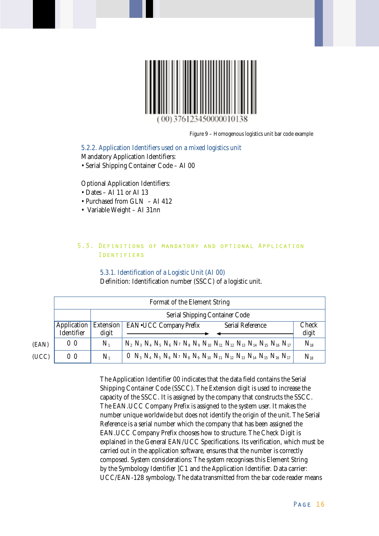

Figure 9 – Homogenous logistics unit bar code example

5.2.2. Application Identifiers used on a mixed logistics unit Mandatory Application Identifiers: • Serial Shipping Container Code – AI 00

Optional Application Identifiers:

- Dates AI 11 or AI 13
- Purchased from GLN AI 412
- Variable Weight AI 31nn

# 5.3. Definitions of mandatory and optional Application Identifiers

#### 5.3.1. Identification of a Logistic Unit (AI 00)

Definition: Identification number (SSCC) of a logistic unit.

|    |                                  |                    | Format of the Element String                                                                                                                                                                                                               |                |  |  |  |  |  |  |  |  |  |
|----|----------------------------------|--------------------|--------------------------------------------------------------------------------------------------------------------------------------------------------------------------------------------------------------------------------------------|----------------|--|--|--|--|--|--|--|--|--|
|    |                                  |                    | <b>Serial Shipping Container Code</b>                                                                                                                                                                                                      |                |  |  |  |  |  |  |  |  |  |
|    | <i>Application</i><br>Identifier | Extension<br>digit | <b>Serial Reference</b><br><b>EAN•UCC Company Prefix</b>                                                                                                                                                                                   | Check<br>digit |  |  |  |  |  |  |  |  |  |
| I) | 0 <sub>0</sub>                   | $N_{1}$            | $N_2$ $N_3$ $N_4$ $N_5$ $N_6$ $N_7$ $N_8$ $N_9$ $N_{10}$ $N_{11}$ $N_{12}$ $N_{13}$ $N_{14}$ $N_{15}$ $N_{16}$ $N_{17}$                                                                                                                    | $N_{18}$       |  |  |  |  |  |  |  |  |  |
| C) | 0 <sub>0</sub>                   | $N_{1}$            | 0 N <sub>3</sub> N <sub>4</sub> N <sub>5</sub> N <sub>6</sub> N <sub>7</sub> N <sub>8</sub> N <sub>9</sub> N <sub>10</sub> N <sub>11</sub> N <sub>12</sub> N <sub>13</sub> N <sub>14</sub> N <sub>15</sub> N <sub>16</sub> N <sub>17</sub> | $N_{18}$       |  |  |  |  |  |  |  |  |  |

(EAN) (UCC)

> The Application Identifier 00 indicates that the data field contains the Serial Shipping Container Code (SSCC). The Extension digit is used to increase the capacity of the SSCC. It is assigned by the company that constructs the SSCC. The EAN.UCC Company Prefix is assigned to the system user. It makes the number unique worldwide but does not identify the origin of the unit. The Serial Reference is a serial number which the company that has been assigned the EAN.UCC Company Prefix chooses how to structure. The Check Digit is explained in the General EAN/UCC Specifications. Its verification, which must be carried out in the application software, ensures that the number is correctly composed. System considerations: The system recognises this Element String by the Symbology Identifier ]C1 and the Application Identifier. Data carrier: UCC/EAN-128 symbology. The data transmitted from the bar code reader means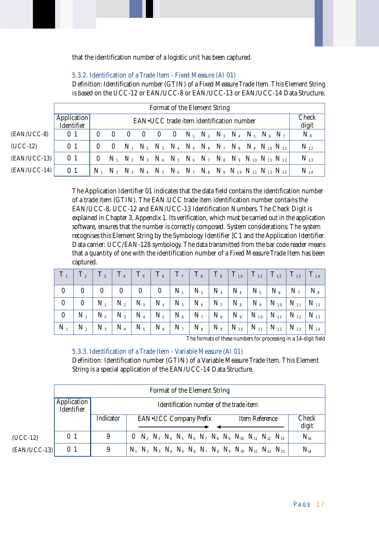that the identification number of a logistic unit has been captured.

#### 5.3.2. Identification of a Trade Item - Fixed Measure (AI 01)

Definition: Identification number (GTIN) of a Fixed Measure Trade Item. This Element String is based on the UCC-12 or EAN/UCC-8 or EAN/UCC-13 or EAN/UCC-14 Data Structure.

|                | Format of the Element String |          |                                          |     |                |  |  |  |  |  |  |  |                                                                                           |  |                       |
|----------------|------------------------------|----------|------------------------------------------|-----|----------------|--|--|--|--|--|--|--|-------------------------------------------------------------------------------------------|--|-----------------------|
|                | Application<br>Identifier    |          | EAN.UCC trade item identification number |     |                |  |  |  |  |  |  |  |                                                                                           |  | <b>Check</b><br>digit |
| (EAN/UCC-8)    | 0 <sub>1</sub>               | $\theta$ |                                          | - 0 | $\overline{0}$ |  |  |  |  |  |  |  | 0 0 $N_1$ $N_2$ $N_3$ $N_4$ $N_5$ $N_6$ $N_7$                                             |  | $N_{s}$               |
| $(UCC-12)$     | 0 <sub>1</sub>               | $\theta$ |                                          |     |                |  |  |  |  |  |  |  | 0 $N_1$ $N_2$ $N_3$ $N_4$ $N_5$ $N_6$ $N_7$ $N_8$ $N_9$ $N_{10}$ $N_{11}$                 |  | $N_{12}$              |
| $ EAN/UCC-13 $ | 0 <sub>1</sub>               | $\theta$ |                                          |     |                |  |  |  |  |  |  |  | $N_1$ $N_2$ $N_3$ $N_4$ $N_5$ $N_6$ $N_7$ $N_8$ $N_9$ $N_{10}$ $N_{11}$ $N_{12}$          |  | $N_{13}$              |
| $(EAN/UCC-14)$ | 0 <sub>1</sub>               |          |                                          |     |                |  |  |  |  |  |  |  | $N_1$ $N_2$ $N_3$ $N_4$ $N_5$ $N_6$ $N_7$ $N_8$ $N_9$ $N_{10}$ $N_{11}$ $N_{12}$ $N_{13}$ |  | $N_{14}$              |

The Application Identifier 01 indicates that the data field contains the identification number of a trade item (GTIN). The EAN.UCC trade item identification number contains the EAN/UCC-8, UCC-12 and EAN/UCC-13 Identification Numbers. The Check Digit is explained in Chapter 3, Appendix 1. Its verification, which must be carried out in the application software, ensures that the number is correctly composed. System considerations: The system recognises this Element String by the Symbology Identifier ]C1 and the Application Identifier. Data carrier: UCC/EAN-128 symbology. The data transmitted from the bar code reader means that a quantity of one with the identification number of a Fixed Measure Trade Item has been captured.

|  |  |  |  |  |  | $\mid$ N $_{1}$ $\mid$ N $_{2}$ $\mid$ N $_{3}$ $\mid$ N $_{4}$ $\mid$ N $_{5}$ $\mid$ N $_{6}$ $\mid$ N $_{7}$ $\mid$ N $_{8}$ $\mid$ N $_{9}$ $\mid$ N $_{10}$ $\mid$ N $_{11}$ $\mid$ N $_{12}$ $\mid$ N $_{13}$ $\mid$ N $_{14}$ $\mid$ |
|--|--|--|--|--|--|---------------------------------------------------------------------------------------------------------------------------------------------------------------------------------------------------------------------------------------------|

The formats of these numbers for processing in a 14-digit field

#### 5.3.3. Identification of a Trade Item - Variable Measure (AI 01)

Definition: Identification number (GTIN) of a Variable Measure Trade Item. This Element String is a special application of the EAN/UCC-14 Data Structure.

|                |                           |           | Format of the Element String                                                              |                |
|----------------|---------------------------|-----------|-------------------------------------------------------------------------------------------|----------------|
|                | Application<br>Identifier |           | Identification number of the trade item                                                   |                |
|                |                           | Indicator | <b>EAN•UCC Company Prefix</b><br>Item Reference                                           | Check<br>digit |
| $(UCC-12)$     | 0 <sub>1</sub>            | 9         | 0 $N_2$ $N_3$ $N_4$ $N_5$ $N_6$ $N_7$ $N_8$ $N_9$ $N_{10}$ $N_{11}$ $N_{12}$ $N_{13}$     | $N_{14}$       |
| $ EAN/UCC-13 $ | 0 <sub>1</sub>            | 9         | $N_1$ $N_2$ $N_3$ $N_4$ $N_5$ $N_6$ $N_7$ $N_8$ $N_9$ $N_{10}$ $N_{11}$ $N_{12}$ $N_{13}$ | $N_{14}$       |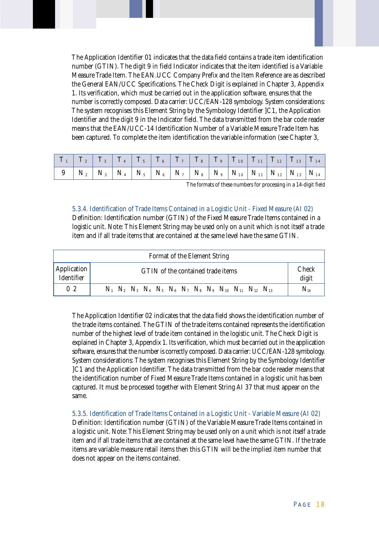The Application Identifier 01 indicates that the data field contains a trade item identification number (GTIN). The digit 9 in field Indicator indicates that the item identified is a Variable Measure Trade Item. The EAN.UCC Company Prefix and the Item Reference are as described the General EAN/UCC Specifications. The Check Digit is explained in Chapter 3, Appendix 1. Its verification, which must be carried out in the application software, ensures that the number is correctly composed. Data carrier: UCC/EAN-128 symbology. System considerations: The system recognises this Element String by the Symbology Identifier ]C1, the Application Identifier and the digit 9 in the Indicator field. The data transmitted from the bar code reader means that the EAN/UCC-14 Identification Number of a Variable Measure Trade Item has been captured. To complete the item identification the variable information (see Chapter 3,

The formats of these numbers for processing in a 14-digit field

# 5.3.4. Identification of Trade Items Contained in a Logistic Unit - Fixed Measure (AI 02)

Definition: Identification number (GTIN) of the Fixed Measure Trade Items contained in a logistic unit. Note: This Element String may be used only on a unit which is not itself a trade item and if all trade items that are contained at the same level have the same GTIN.

| Format of the Element String                                   |                                                                                           |          |  |  |  |  |  |  |  |  |
|----------------------------------------------------------------|-------------------------------------------------------------------------------------------|----------|--|--|--|--|--|--|--|--|
| Application<br>GTIN of the contained trade items<br>Identifier |                                                                                           |          |  |  |  |  |  |  |  |  |
| 0 <sub>2</sub>                                                 | $N_1$ $N_2$ $N_3$ $N_4$ $N_5$ $N_6$ $N_7$ $N_8$ $N_9$ $N_{10}$ $N_{11}$ $N_{12}$ $N_{13}$ | $N_{14}$ |  |  |  |  |  |  |  |  |

The Application Identifier 02 indicates that the data field shows the identification number of the trade items contained. The GTIN of the trade items contained represents the identification number of the highest level of trade item contained in the logistic unit. The Check Digit is explained in Chapter 3, Appendix 1. Its verification, which must be carried out in the application software, ensures that the number is correctly composed. Data carrier: UCC/EAN-128 symbology. System considerations: The system recognises this Element String by the Symbology Identifier ]C1 and the Application Identifier. The data transmitted from the bar code reader means that the identification number of Fixed Measure Trade Items contained in a logistic unit has been captured. It must be processed together with Element String AI 37 that must appear on the same.

# 5.3.5. Identification of Trade Items Contained in a Logistic Unit - Variable Measure (AI 02)

Definition: Identification number (GTIN) of the Variable Measure Trade Items contained in a logistic unit. Note: This Element String may be used only on a unit which is not itself a trade item and if all trade items that are contained at the same level have the same GTIN. If the trade items are variable measure retail items then this GTIN will be the implied item number that does not appear on the items contained.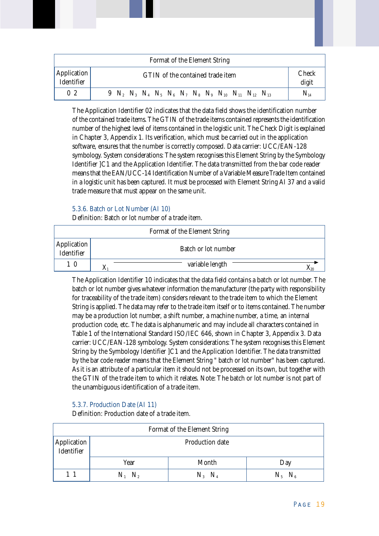| Format of the Element String     |                                                                                       |                       |  |  |  |  |  |  |  |
|----------------------------------|---------------------------------------------------------------------------------------|-----------------------|--|--|--|--|--|--|--|
| <b>Application</b><br>Identifier | GTIN of the contained trade item                                                      | <b>Check</b><br>digit |  |  |  |  |  |  |  |
| 0 <sub>2</sub>                   | 9 $N_2$ $N_3$ $N_4$ $N_5$ $N_6$ $N_7$ $N_8$ $N_9$ $N_{10}$ $N_{11}$ $N_{12}$ $N_{13}$ | $N_{14}$              |  |  |  |  |  |  |  |

The Application Identifier 02 indicates that the data field shows the identification number of the contained trade items. The GTIN of the trade items contained represents the identification number of the highest level of items contained in the logistic unit. The Check Digit is explained in Chapter 3, Appendix 1. Its verification, which must be carried out in the application software, ensures that the number is correctly composed. Data carrier: UCC/EAN-128 symbology. System considerations: The system recognises this Element String by the Symbology Identifier ]C1 and the Application Identifier. The data transmitted from the bar code reader means that the EAN/UCC-14 Identification Number of a Variable Measure Trade Item contained in a logistic unit has been captured. It must be processed with Element String AI 37 and a valid trade measure that must appear on the same unit.

# 5.3.6. Batch or Lot Number (AI 10)

Definition: Batch or lot number of a trade item.

| Format of the Element String |  |                     |  |
|------------------------------|--|---------------------|--|
| Application                  |  | Batch or lot number |  |
|                              |  | variable length     |  |

The Application Identifier 10 indicates that the data field contains a batch or lot number. The batch or lot number gives whatever information the manufacturer (the party with responsibility for traceability of the trade item) considers relevant to the trade item to which the Element String is applied. The data may refer to the trade item itself or to items contained. The number may be a production lot number, a shift number, a machine number, a time, an internal production code, etc. The data is alphanumeric and may include all characters contained in Table 1 of the International Standard ISO/IEC 646, shown in Chapter 3, Appendix 3. Data carrier: UCC/EAN-128 symbology. System considerations: The system recognises this Element String by the Symbology Identifier ]C1 and the Application Identifier. The data transmitted by the bar code reader means that the Element String " batch or lot number" has been captured. As it is an attribute of a particular item it should not be processed on its own, but together with the GTIN of the trade item to which it relates. Note: The batch or lot number is not part of the unambiguous identification of a trade item.

# 5.3.7. Production Date (AI 11)

Definition: Production date of a trade item.

| Format of the Element String |                        |             |             |  |
|------------------------------|------------------------|-------------|-------------|--|
| Application                  | Production date        |             |             |  |
|                              | Year                   | Month       | Day         |  |
|                              | $N_{2}$<br>$N_{\rm H}$ | $N_3$ $N_4$ | $N_5$ $N_6$ |  |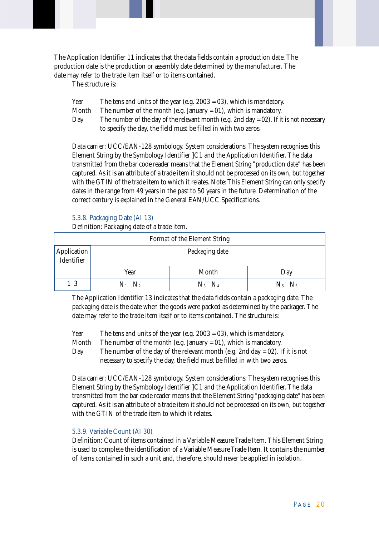The Application Identifier 11 indicates that the data fields contain a production date. The production date is the production or assembly date determined by the manufacturer. The date may refer to the trade item itself or to items contained.

The structure is:

| Year  | The tens and units of the year (e.g. $2003 = 03$ ), which is mandatory.                 |
|-------|-----------------------------------------------------------------------------------------|
| Month | The number of the month (e.g. January = $01$ ), which is mandatory.                     |
| Day   | The number of the day of the relevant month (e.g. 2nd day = 02). If it is not necessary |
|       | to specify the day, the field must be filled in with two zeros.                         |
|       |                                                                                         |

Data carrier: UCC/EAN-128 symbology. System considerations: The system recognises this Element String by the Symbology Identifier ]C1 and the Application Identifier. The data transmitted from the bar code reader means that the Element String "production date" has been captured. As it is an attribute of a trade item it should not be processed on its own, but together with the GTIN of the trade item to which it relates. Note: This Element String can only specify dates in the range from 49 years in the past to 50 years in the future. Determination of the correct century is explained in the General EAN/UCC Specifications.

#### 5.3.8. Packaging Date (AI 13)

Definition: Packaging date of a trade item.

| Format of the Element String |                |             |             |  |
|------------------------------|----------------|-------------|-------------|--|
| Application<br>Identifier    | Packaging date |             |             |  |
|                              | Year           | Month       | Day         |  |
| 13                           | $N_1$ $N_2$    | $N_3$ $N_4$ | $N_5$ $N_6$ |  |

The Application Identifier 13 indicates that the data fields contain a packaging date. The packaging date is the date when the goods were packed as determined by the packager. The date may refer to the trade item itself or to items contained. The structure is:

Year The tens and units of the year (e.g. 2003 = 03), which is mandatory.

Month The number of the month (e.g. January  $= 01$ ), which is mandatory.

Day The number of the day of the relevant month (e.g. 2nd day = 02). If it is not necessary to specify the day, the field must be filled in with two zeros.

Data carrier: UCC/EAN-128 symbology. System considerations: The system recognises this Element String by the Symbology Identifier ]C1 and the Application Identifier. The data transmitted from the bar code reader means that the Element String "packaging date" has been captured. As it is an attribute of a trade item it should not be processed on its own, but together with the GTIN of the trade item to which it relates.

# 5.3.9. Variable Count (AI 30)

Definition: Count of items contained in a Variable Measure Trade Item. This Element String is used to complete the identification of a Variable Measure Trade Item. It contains the number of items contained in such a unit and, therefore, should never be applied in isolation.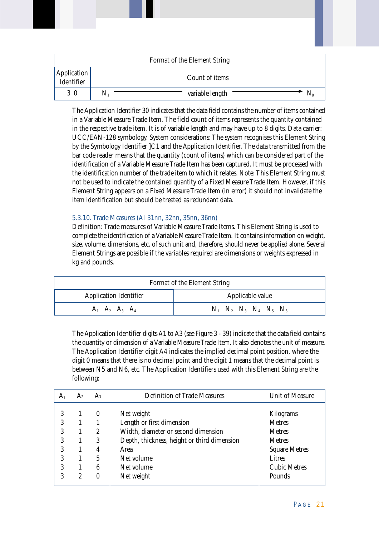|                           | Format of the Element String |
|---------------------------|------------------------------|
| Application<br>Identifier | Count of items               |
| 3 0                       | variable length<br>N1        |

The Application Identifier 30 indicates that the data field contains the number of items contained in a Variable Measure Trade Item. The field count of items represents the quantity contained in the respective trade item. It is of variable length and may have up to 8 digits. Data carrier: UCC/EAN-128 symbology. System considerations: The system recognises this Element String by the Symbology Identifier ]C1 and the Application Identifier. The data transmitted from the bar code reader means that the quantity (count of items) which can be considered part of the identification of a Variable Measure Trade Item has been captured. It must be processed with the identification number of the trade item to which it relates. Note: This Element String must not be used to indicate the contained quantity of a Fixed Measure Trade Item. However, if this Element String appears on a Fixed Measure Trade Item (in error) it should not invalidate the item identification but should be treated as redundant data.

# 5.3.10. Trade Measures (AI 31nn, 32nn, 35nn, 36nn)

Definition: Trade measures of Variable Measure Trade Items. This Element String is used to complete the identification of a Variable Measure Trade Item. It contains information on weight, size, volume, dimensions, etc. of such unit and, therefore, should never be applied alone. Several Element Strings are possible if the variables required are dimensions or weights expressed in kg and pounds.

| Format of the Element String  |                                     |  |
|-------------------------------|-------------------------------------|--|
| <b>Application Identifier</b> | Applicable value                    |  |
| $A_1$ $A_2$ $A_3$ $A_4$       | $N_1$ $N_2$ $N_3$ $N_4$ $N_5$ $N_6$ |  |

The Application Identifier digits A1 to A3 (see Figure 3 - 39) indicate that the data field contains the quantity or dimension of a Variable Measure Trade Item. It also denotes the unit of measure. The Application Identifier digit A4 indicates the implied decimal point position, where the digit 0 means that there is no decimal point and the digit 1 means that the decimal point is between N5 and N6, etc. The Application Identifiers used with this Element String are the following:

| A <sub>1</sub> | A <sub>2</sub> | $A_3$    | <b>Definition of Trade Measures</b>         | <b>Unit of Measure</b> |
|----------------|----------------|----------|---------------------------------------------|------------------------|
|                |                |          |                                             |                        |
| 3              |                | $\theta$ | Net weight                                  | Kilograms              |
| 3              |                |          | Length or first dimension                   | <b>Metres</b>          |
| 3              |                | 2        | Width, diameter or second dimension         | <b>Metres</b>          |
| 3              |                | 3        | Depth, thickness, height or third dimension | <b>Metres</b>          |
| 3              |                | 4        | Area                                        | <b>Square Metres</b>   |
| 3              |                | 5        | Net volume                                  | Litres                 |
| 3              |                | 6        | Net volume                                  | <b>Cubic Metres</b>    |
| 3              | 2              | 0        | Net weight                                  | Pounds                 |
|                |                |          |                                             |                        |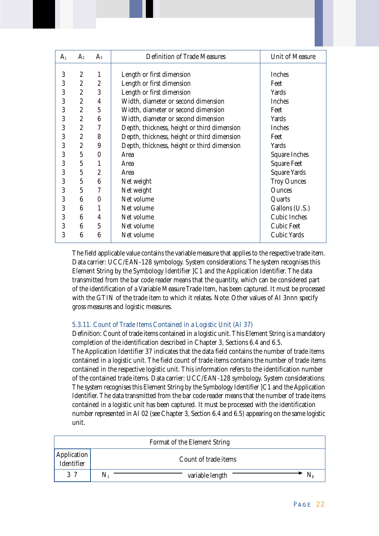| A <sub>1</sub> | A <sub>2</sub>   | $A_3$            | <b>Definition of Trade Measures</b>         | <b>Unit of Measure</b> |
|----------------|------------------|------------------|---------------------------------------------|------------------------|
|                |                  |                  |                                             |                        |
| 3              | $\boldsymbol{2}$ | $\mathbf{1}$     | Length or first dimension                   | <b>Inches</b>          |
| 3              | $\boldsymbol{2}$ | $\boldsymbol{2}$ | Length or first dimension                   | Feet                   |
| 3              | $\boldsymbol{2}$ | 3                | Length or first dimension                   | Yards                  |
| 3              | $\overline{2}$   | 4                | Width, diameter or second dimension         | <b>Inches</b>          |
| 3              | $\overline{2}$   | $\overline{5}$   | Width, diameter or second dimension         | Feet                   |
| 3              | $\boldsymbol{2}$ | 6                | Width, diameter or second dimension         | Yards                  |
| 3              | $\boldsymbol{2}$ | 7                | Depth, thickness, height or third dimension | <b>Inches</b>          |
| 3              | $\boldsymbol{2}$ | 8                | Depth, thickness, height or third dimension | Feet                   |
| 3              | $\boldsymbol{2}$ | 9                | Depth, thickness, height or third dimension | Yards                  |
| 3              | $\overline{5}$   | $\boldsymbol{0}$ | Area                                        | <b>Square Inches</b>   |
| 3              | $\sqrt{5}$       | $\mathbf{1}$     | Area                                        | <b>Square Feet</b>     |
| 3              | $\overline{5}$   | $\overline{2}$   | Area                                        | <b>Square Yards</b>    |
| 3              | $\overline{5}$   | 6                | Net weight                                  | <b>Troy Ounces</b>     |
| 3              | $\sqrt{5}$       | 7                | Net weight                                  | <b>Ounces</b>          |
| 3              | $6\phantom{1}6$  | $\Omega$         | Net volume                                  | Quarts                 |
| 3              | 6                |                  | Net volume                                  | Gallons (U.S.)         |
| 3              | $6\phantom{1}6$  | 4                | Net volume                                  | <b>Cubic Inches</b>    |
| 3              | $6\phantom{1}6$  | $\overline{5}$   | Net volume                                  | <b>Cubic Feet</b>      |
| 3              | 6                | 6                | Net volume                                  | <b>Cubic Yards</b>     |

The field applicable value contains the variable measure that applies to the respective trade item. Data carrier: UCC/EAN-128 symbology. System considerations: The system recognises this Element String by the Symbology Identifier ]C1 and the Application Identifier. The data transmitted from the bar code reader means that the quantity, which can be considered part of the identification of a Variable Measure Trade Item, has been captured. It must be processed with the GTIN of the trade item to which it relates. Note: Other values of AI 3nnn specify gross measures and logistic measures.

# 5.3.11. Count of Trade Items Contained in a Logistic Unit (AI 37)

Definition: Count of trade items contained in a logistic unit. This Element String is a mandatory completion of the identification described in Chapter 3, Sections 6.4 and 6.5.

The Application Identifier 37 indicates that the data field contains the number of trade items contained in a logistic unit. The field count of trade items contains the number of trade items contained in the respective logistic unit. This information refers to the identification number of the contained trade items. Data carrier: UCC/EAN-128 symbology. System considerations: The system recognises this Element String by the Symbology Identifier ]C1 and the Application Identifier. The data transmitted from the bar code reader means that the number of trade items contained in a logistic unit has been captured. It must be processed with the identification number represented in AI 02 (see Chapter 3, Section 6.4 and 6.5) appearing on the same logistic unit.

| Format of the Element String |                        |  |
|------------------------------|------------------------|--|
| Application                  | Count of trade items   |  |
| 3 7                          | variable length<br>IN. |  |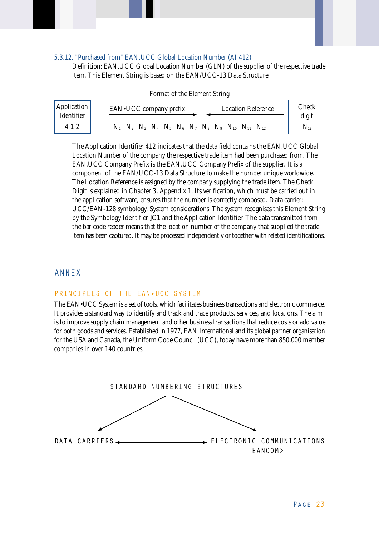#### 5.3.12. "Purchased from" EAN.UCC Global Location Number (AI 412)

Definition: EAN.UCC Global Location Number (GLN) of the supplier of the respective trade item. This Element String is based on the EAN/UCC-13 Data Structure.

| Format of the Element String |                                                                                  |                       |  |
|------------------------------|----------------------------------------------------------------------------------|-----------------------|--|
| Application<br>Identifier    | <b>Location Reference</b><br>EAN•UCC company prefix                              | <b>Check</b><br>digit |  |
| 4 1 2                        | $N_1$ $N_2$ $N_3$ $N_4$ $N_5$ $N_6$ $N_7$ $N_8$ $N_9$ $N_{10}$ $N_{11}$ $N_{12}$ | $N_{13}$              |  |

The Application Identifier 412 indicates that the data field contains the EAN.UCC Global Location Number of the company the respective trade item had been purchased from. The EAN.UCC Company Prefix is the EAN.UCC Company Prefix of the supplier. It is a component of the EAN/UCC-13 Data Structure to make the number unique worldwide. The Location Reference is assigned by the company supplying the trade item. The Check Digit is explained in Chapter 3, Appendix 1. Its verification, which must be carried out in the application software, ensures that the number is correctly composed. Data carrier: UCC/EAN-128 symbology. System considerations: The system recognises this Element String by the Symbology Identifier ]C1 and the Application Identifier. The data transmitted from the bar code reader means that the location number of the company that supplied the trade item has been captured. It may be processed independently or together with related identifications.

# ANNEX

#### PRINCIPLES OF THE EAN•UCC SYSTEM

The EAN•UCC System is a set of tools, which facilitates business transactions and electronic commerce. It provides a standard way to identify and track and trace products, services, and locations. The aim is to improve supply chain management and other business transactions that reduce costs or add value for both goods and services. Established in 1977, EAN International and its global partner organisation for the USA and Canada, the Uniform Code Council (UCC), today have more than 850.000 member companies in over 140 countries.

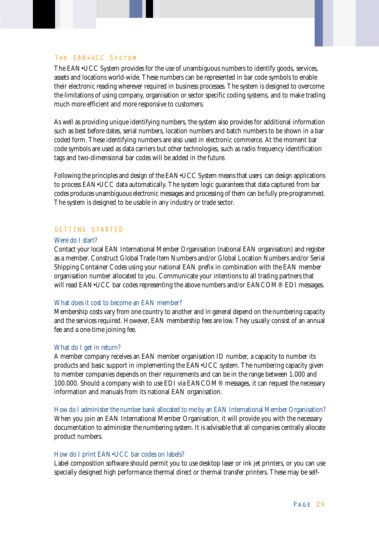#### The EAN•UCC System

The EAN•UCC System provides for the use of unambiguous numbers to identify goods, services, assets and locations world-wide. These numbers can be represented in bar code symbols to enable their electronic reading wherever required in business processes. The system is designed to overcome the limitations of using company, organisation or sector specific coding systems, and to make trading much more efficient and more responsive to customers.

As well as providing unique identifying numbers, the system also provides for additional information such as best before dates, serial numbers, location numbers and batch numbers to be shown in a bar coded form. These identifying numbers are also used in electronic commerce. At the moment bar code symbols are used as data carriers but other technologies, such as radio frequency identification tags and two-dimensional bar codes will be added in the future.

Following the principles and design of the EAN•UCC System means that users can design applications to process EAN•UCC data automatically. The system logic guarantees that data captured from bar codes produces unambiguous electronic messages and processing of them can be fully pre-programmed. The system is designed to be usable in any industry or trade sector.

#### GETTING STARTED

#### Were do I start?

Contact your local EAN International Member Organisation (national EAN organisation) and register as a member. Construct Global Trade Item Numbers and/or Global Location Numbers and/or Serial Shipping Container Codes using your national EAN prefix in combination with the EAN member organisation number allocated to you. Communicate your intentions to all trading partners that will read EAN•UCC bar codes representing the above numbers and/or EANCOM® EDI messages.

#### What does it cost to become an EAN member?

Membership costs vary from one country to another and in general depend on the numbering capacity and the services required. However, EAN membership fees are low. They usually consist of an annual fee and a one-time joining fee.

#### What do I get in return?

A member company receives an EAN member organisation ID number, a capacity to number its products and basic support in implementing the EAN•UCC system. The numbering capacity given to member companies depends on their requirements and can be in the range between 1.000 and 100.000. Should a company wish to use EDI via EANCOM® messages, it can request the necessary information and manuals from its national EAN organisation.

How do I administer the number bank allocated to me by an EAN International Member Organisation? When you join an EAN International Member Organisation, it will provide you with the necessary documentation to administer the numbering system. It is advisable that all companies centrally allocate product numbers.

#### How do I print EAN•UCC bar codes on labels?

Label composition software should permit you to use desktop laser or ink jet printers, or you can use specially designed high performance thermal direct or thermal transfer printers. These may be self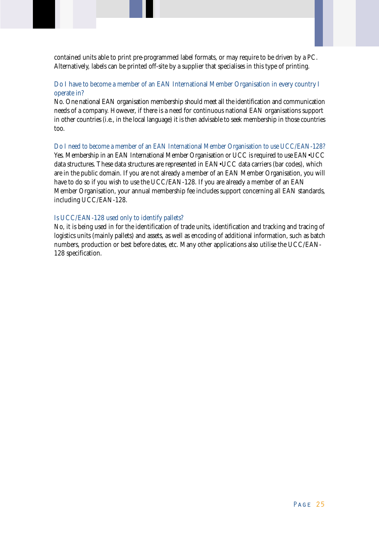contained units able to print pre-programmed label formats, or may require to be driven by a PC. Alternatively, labels can be printed off-site by a supplier that specialises in this type of printing.

# Do I have to become a member of an EAN International Member Organisation in every country I operate in?

No. One national EAN organisation membership should meet all the identification and communication needs of a company. However, if there is a need for continuous national EAN organisations support in other countries (i.e., in the local language) it is then advisable to seek membership in those countries too.

Do I need to become a member of an EAN International Member Organisation to use UCC/EAN-128? Yes. Membership in an EAN International Member Organisation or UCC is required to use EAN•UCC data structures. These data structures are represented in EAN•UCC data carriers (bar codes), which are in the public domain. If you are not already a member of an EAN Member Organisation, you will have to do so if you wish to use the UCC/EAN-128. If you are already a member of an EAN Member Organisation, your annual membership fee includes support concerning all EAN standards, including UCC/EAN-128.

# Is UCC/EAN-128 used only to identify pallets?

No, it is being used in for the identification of trade units, identification and tracking and tracing of logistics units (mainly pallets) and assets, as well as encoding of additional information, such as batch numbers, production or best before dates, etc. Many other applications also utilise the UCC/EAN-128 specification.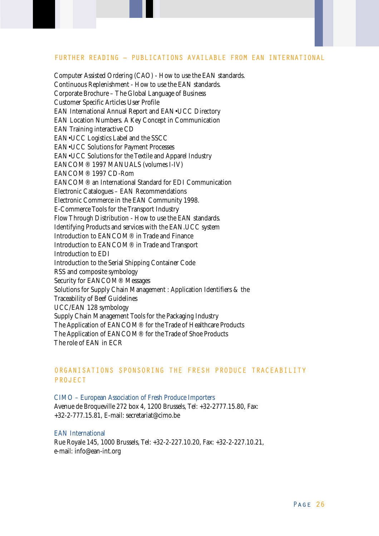#### FURTHER READING – PUBLICATIONS AVAILABLE FROM EAN INTERNATIONAL

Computer Assisted Ordering (CAO) - How to use the EAN standards. Continuous Replenishment - How to use the EAN standards. Corporate Brochure – The Global Language of Business Customer Specific Articles User Profile EAN International Annual Report and EAN•UCC Directory EAN Location Numbers. A Key Concept in Communication EAN Training interactive CD EAN•UCC Logistics Label and the SSCC EAN•UCC Solutions for Payment Processes EAN•UCC Solutions for the Textile and Apparel Industry EANCOM® 1997 MANUALS (volumes I-IV) EANCOM® 1997 CD-Rom EANCOM® an International Standard for EDI Communication Electronic Catalogues – EAN Recommendations Electronic Commerce in the EAN Community 1998. E-Commerce Tools for the Transport Industry Flow Through Distribution - How to use the EAN standards. Identifying Products and services with the EAN.UCC system Introduction to EANCOM® in Trade and Finance Introduction to EANCOM® in Trade and Transport Introduction to EDI Introduction to the Serial Shipping Container Code RSS and composite symbology Security for EANCOM® Messages Solutions for Supply Chain Management : Application Identifiers & the Traceability of Beef Guidelines UCC/EAN 128 symbology Supply Chain Management Tools for the Packaging Industry The Application of EANCOM® for the Trade of Healthcare Products The Application of EANCOM® for the Trade of Shoe Products The role of EAN in ECR

# ORGANISATIONS SPONSORING THE FRESH PRODUCE TRACEABILITY PROJECT

CIMO – European Association of Fresh Produce Importers Avenue de Broqueville 272 box 4, 1200 Brussels, Tel: +32-2777.15.80, Fax: +32-2-777.15.81, E-mail: secretariat@cimo.be

#### EAN International

Rue Royale 145, 1000 Brussels, Tel: +32-2-227.10.20, Fax: +32-2-227.10.21, e-mail: info@ean-int.org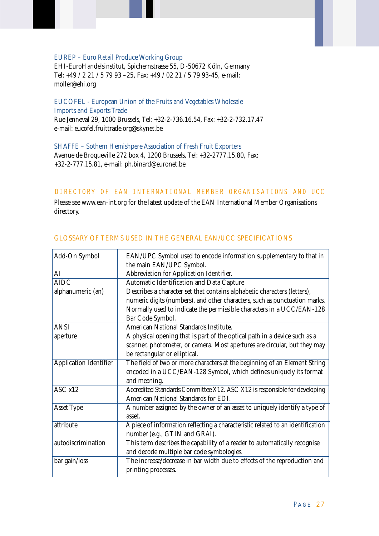#### EUREP – Euro Retail Produce Working Group

EHI-EuroHandelsinstitut, Spichernstrasse 55, D-50672 Köln, Germany Tel: +49 / 2 21 / 5 79 93 –25, Fax: +49 / 02 21 / 5 79 93-45, e-mail: moller@ehi.org

EUCOFEL - European Union of the Fruits and Vegetables Wholesale Imports and Exports Trade Rue Jenneval 29, 1000 Brussels, Tel: +32-2-736.16.54, Fax: +32-2-732.17.47 e-mail: eucofel.fruittrade.org@skynet.be

SHAFFE – Sothern Hemishpere Association of Fresh Fruit Exporters Avenue de Broqueville 272 box 4, 1200 Brussels, Tel: +32-2777.15.80, Fax: +32-2-777.15.81, e-mail: ph.binard@euronet.be

#### DIRECTORY OF EAN INTERNATIONAL MEMBER ORGANISATIONS AND UCC

Please see www.ean-int.org for the latest update of the EAN International Member Organisations directory.

| Add-On Symbol                 | EAN/UPC Symbol used to encode information supplementary to that in<br>the main EAN/UPC Symbol. |
|-------------------------------|------------------------------------------------------------------------------------------------|
| AI                            | Abbreviation for Application Identifier.                                                       |
| <b>AIDC</b>                   | Automatic Identification and Data Capture                                                      |
| alphanumeric (an)             | Describes a character set that contains alphabetic characters (letters),                       |
|                               | numeric digits (numbers), and other characters, such as punctuation marks.                     |
|                               | Normally used to indicate the permissible characters in a UCC/EAN-128                          |
|                               | Bar Code Symbol.                                                                               |
| <b>ANSI</b>                   | American National Standards Institute.                                                         |
| aperture                      | A physical opening that is part of the optical path in a device such as a                      |
|                               | scanner, photometer, or camera. Most apertures are circular, but they may                      |
|                               | be rectangular or elliptical.                                                                  |
| <b>Application Identifier</b> | The field of two or more characters at the beginning of an Element String                      |
|                               | encoded in a UCC/EAN-128 Symbol, which defines uniquely its format                             |
|                               | and meaning.                                                                                   |
| ASC x12                       | Accredited Standards Committee X12. ASC X12 is responsible for developing                      |
|                               | American National Standards for EDI.                                                           |
| <b>Asset Type</b>             | A number assigned by the owner of an asset to uniquely identify a type of                      |
|                               | asset.                                                                                         |
| attribute                     | A piece of information reflecting a characteristic related to an identification                |
|                               | number (e.g., GTIN and GRAI).                                                                  |
| autodiscrimination            | This term describes the capability of a reader to automatically recognise                      |
|                               | and decode multiple bar code symbologies.                                                      |
| bar gain/loss                 | The increase/decrease in bar width due to effects of the reproduction and                      |
|                               | printing processes.                                                                            |

# GLOSSARY OF TERMS USED IN THE GENERAL EAN/UCC SPECIFICATIONS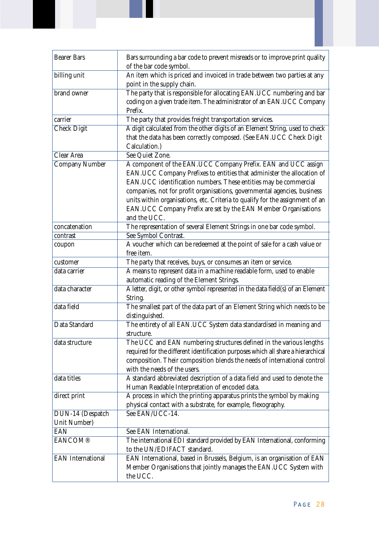| <b>Bearer Bars</b>       | Bars surrounding a bar code to prevent misreads or to improve print quality<br>of the bar code symbol.                                                                                                                                                                                                                                                                                                                                                     |
|--------------------------|------------------------------------------------------------------------------------------------------------------------------------------------------------------------------------------------------------------------------------------------------------------------------------------------------------------------------------------------------------------------------------------------------------------------------------------------------------|
| billing unit             | An item which is priced and invoiced in trade between two parties at any<br>point in the supply chain.                                                                                                                                                                                                                                                                                                                                                     |
| brand owner              | The party that is responsible for allocating EAN.UCC numbering and bar<br>coding on a given trade item. The administrator of an EAN.UCC Company<br>Prefix.                                                                                                                                                                                                                                                                                                 |
| carrier                  | The party that provides freight transportation services.                                                                                                                                                                                                                                                                                                                                                                                                   |
| <b>Check Digit</b>       | A digit calculated from the other digits of an Element String, used to check<br>that the data has been correctly composed. (See EAN.UCC Check Digit<br>Calculation.)                                                                                                                                                                                                                                                                                       |
| Clear Area               | See Quiet Zone.                                                                                                                                                                                                                                                                                                                                                                                                                                            |
| <b>Company Number</b>    | A component of the EAN.UCC Company Prefix. EAN and UCC assign<br>EAN.UCC Company Prefixes to entities that administer the allocation of<br>EAN.UCC identification numbers. These entities may be commercial<br>companies, not for profit organisations, governmental agencies, business<br>units within organisations, etc. Criteria to qualify for the assignment of an<br>EAN.UCC Company Prefix are set by the EAN Member Organisations<br>and the UCC. |
| concatenation            | The representation of several Element Strings in one bar code symbol.                                                                                                                                                                                                                                                                                                                                                                                      |
| contrast                 | See Symbol Contrast.                                                                                                                                                                                                                                                                                                                                                                                                                                       |
| coupon                   | A voucher which can be redeemed at the point of sale for a cash value or<br>free item.                                                                                                                                                                                                                                                                                                                                                                     |
| customer                 | The party that receives, buys, or consumes an item or service.                                                                                                                                                                                                                                                                                                                                                                                             |
| data carrier             | A means to represent data in a machine readable form, used to enable<br>automatic reading of the Element Strings.                                                                                                                                                                                                                                                                                                                                          |
| data character           | A letter, digit, or other symbol represented in the data field(s) of an Element<br>String.                                                                                                                                                                                                                                                                                                                                                                 |
| data field               | The smallest part of the data part of an Element String which needs to be<br>distinguished.                                                                                                                                                                                                                                                                                                                                                                |
| Data Standard            | The entirety of all EAN.UCC System data standardised in meaning and<br>structure.                                                                                                                                                                                                                                                                                                                                                                          |
| data structure           | The UCC and EAN numbering structures defined in the various lengths<br>required for the different identification purposes which all share a hierarchical<br>composition. Their composition blends the needs of international control<br>with the needs of the users.                                                                                                                                                                                       |
| data titles              | A standard abbreviated description of a data field and used to denote the<br>Human Readable Interpretation of encoded data.                                                                                                                                                                                                                                                                                                                                |
| direct print             | A process in which the printing apparatus prints the symbol by making<br>physical contact with a substrate, for example, flexography.                                                                                                                                                                                                                                                                                                                      |
| DUN-14 (Despatch         | See EAN/UCC-14.                                                                                                                                                                                                                                                                                                                                                                                                                                            |
| Unit Number)             |                                                                                                                                                                                                                                                                                                                                                                                                                                                            |
| <b>EAN</b>               | See EAN International.                                                                                                                                                                                                                                                                                                                                                                                                                                     |
| <b>EANCOM®</b>           | The international EDI standard provided by EAN International, conforming<br>to the UN/EDIFACT standard.                                                                                                                                                                                                                                                                                                                                                    |
| <b>EAN</b> International | EAN International, based in Brussels, Belgium, is an organisation of EAN<br>Member Organisations that jointly manages the EAN.UCC System with<br>the UCC.                                                                                                                                                                                                                                                                                                  |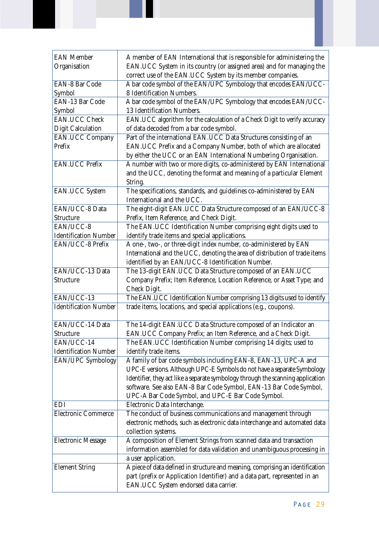| <b>EAN Member</b>            | A member of EAN International that is responsible for administering the         |
|------------------------------|---------------------------------------------------------------------------------|
| Organisation                 | EAN.UCC System in its country (or assigned area) and for managing the           |
|                              | correct use of the EAN.UCC System by its member companies.                      |
| <b>EAN-8 Bar Code</b>        | A bar code symbol of the EAN/UPC Symbology that encodes EAN/UCC-                |
| Symbol                       | 8 Identification Numbers.                                                       |
| EAN-13 Bar Code              | A bar code symbol of the EAN/UPC Symbology that encodes EAN/UCC-                |
| Symbol                       | 13 Identification Numbers.                                                      |
| <b>EAN.UCC Check</b>         | EAN.UCC algorithm for the calculation of a Check Digit to verify accuracy       |
| <b>Digit Calculation</b>     | of data decoded from a bar code symbol.                                         |
| <b>EAN.UCC Company</b>       | Part of the international EAN.UCC Data Structures consisting of an              |
| Prefix                       | EAN.UCC Prefix and a Company Number, both of which are allocated                |
|                              | by either the UCC or an EAN International Numbering Organisation.               |
| <b>EAN.UCC Prefix</b>        | A number with two or more digits, co-administered by EAN International          |
|                              |                                                                                 |
|                              | and the UCC, denoting the format and meaning of a particular Element            |
|                              | String.                                                                         |
| <b>EAN.UCC System</b>        | The specifications, standards, and guidelines co-administered by EAN            |
|                              | International and the UCC.                                                      |
| EAN/UCC-8 Data               | The eight-digit EAN.UCC Data Structure composed of an EAN/UCC-8                 |
| <b>Structure</b>             | Prefix, Item Reference, and Check Digit.                                        |
| EAN/UCC-8                    | The EAN.UCC Identification Number comprising eight digits used to               |
| <b>Identification Number</b> | identify trade items and special applications.                                  |
| EAN/UCC-8 Prefix             | A one-, two-, or three-digit index number, co-administered by EAN               |
|                              | International and the UCC, denoting the area of distribution of trade items     |
|                              | identified by an EAN/UCC-8 Identification Number.                               |
| EAN/UCC-13 Data              | The 13-digit EAN.UCC Data Structure composed of an EAN.UCC                      |
| <b>Structure</b>             | Company Prefix; Item Reference, Location Reference, or Asset Type; and          |
|                              | Check Digit.                                                                    |
| EAN/UCC-13                   | The EAN.UCC Identification Number comprising 13 digits used to identify         |
| <b>Identification Number</b> | trade items, locations, and special applications (e.g., coupons).               |
|                              |                                                                                 |
| EAN/UCC-14 Data              | The 14-digit EAN.UCC Data Structure composed of an Indicator an                 |
| <b>Structure</b>             | EAN.UCC Company Prefix; an Item Reference, and a Check Digit.                   |
| EAN/UCC-14                   | The EAN.UCC Identification Number comprising 14 digits; used to                 |
| <b>Identification Number</b> | identify trade items.                                                           |
| EAN/UPC Symbology            | A family of bar code symbols including EAN-8, EAN-13, UPC-A and                 |
|                              | UPC-E versions. Although UPC-E Symbols do not have a separate Symbology         |
|                              | Identifier, they act like a separate symbology through the scanning application |
|                              | software. See also EAN-8 Bar Code Symbol, EAN-13 Bar Code Symbol,               |
|                              | UPC-A Bar Code Symbol, and UPC-E Bar Code Symbol.                               |
| EDI                          | Electronic Data Interchange.                                                    |
| Electronic Commerce          | The conduct of business communications and management through                   |
|                              | electronic methods, such as electronic data interchange and automated data      |
|                              | collection systems.                                                             |
| <b>Electronic Message</b>    | A composition of Element Strings from scanned data and transaction              |
|                              | information assembled for data validation and unambiguous processing in         |
|                              | a user application.                                                             |
| <b>Element String</b>        | A piece of data defined in structure and meaning, comprising an identification  |
|                              | part (prefix or Application Identifier) and a data part, represented in an      |
|                              | EAN.UCC System endorsed data carrier.                                           |
|                              |                                                                                 |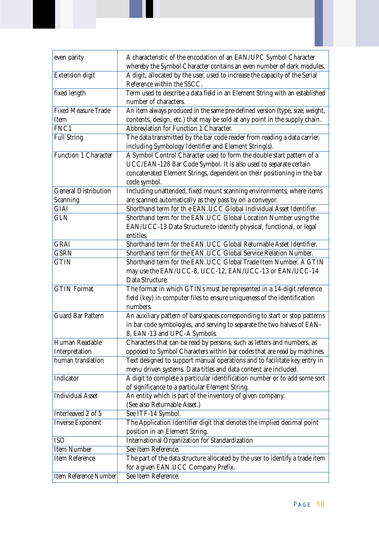| even parity                 | A characteristic of the encodation of an EAN/UPC Symbol Character<br>whereby the Symbol Character contains an even number of dark modules. |
|-----------------------------|--------------------------------------------------------------------------------------------------------------------------------------------|
| <b>Extension digit</b>      | A digit, allocated by the user, used to increase the capacity of the Serial<br>Reference within the SSCC.                                  |
| fixed length                | Term used to describe a data field in an Element String with an established                                                                |
|                             | number of characters.                                                                                                                      |
| <b>Fixed Measure Trade</b>  | An item always produced in the same pre-defined version (type, size, weight,                                                               |
| Item                        | contents, design, etc.) that may be sold at any point in the supply chain.                                                                 |
| FNC1                        | Abbreviation for Function 1 Character.                                                                                                     |
| <b>Full String</b>          | The data transmitted by the bar code reader from reading a data carrier,                                                                   |
|                             | including Symbology Identifier and Element String(s).                                                                                      |
| Function 1 Character        | A Symbol Control Character used to form the double start pattern of a                                                                      |
|                             | UCC/EAN-128 Bar Code Symbol. It is also used to separate certain                                                                           |
|                             | concatenated Element Strings, dependent on their positioning in the bar                                                                    |
|                             | code symbol.                                                                                                                               |
| <b>General Distribution</b> | Including unattended, fixed mount scanning environments, where items                                                                       |
| Scanning                    | are scanned automatically as they pass by on a conveyor.                                                                                   |
| <b>GIAI</b>                 | Shorthand term for th e EAN.UCC Global Individual Asset Identifier.                                                                        |
| <b>GLN</b>                  | Shorthand term for the EAN.UCC Global Location Number using the                                                                            |
|                             | EAN/UCC-13 Data Structure to identify physical, functional, or legal                                                                       |
|                             | entities.                                                                                                                                  |
| <b>GRAI</b>                 | Shorthand term for the EAN.UCC Global Returnable Asset Identifier.                                                                         |
| <b>GSRN</b>                 | Shorthand term for the EAN.UCC Global Service Relation Number.                                                                             |
| <b>GTIN</b>                 | Shorthand term for the EAN.UCC Global Trade Item Number. A GTIN                                                                            |
|                             | may use the EAN/UCC-8, UCC-12, EAN/UCC-13 or EAN/UCC-14                                                                                    |
|                             | Data Structure.                                                                                                                            |
| <b>GTIN</b> Format          | The format in which GTINs must be represented in a 14-digit reference                                                                      |
|                             | field (key) in computer files to ensure uniqueness of the identification                                                                   |
|                             | numbers.                                                                                                                                   |
| <b>Guard Bar Pattern</b>    | An auxiliary pattern of bars/spaces corresponding to start or stop patterns                                                                |
|                             | in bar code symbologies, and serving to separate the two halves of EAN-                                                                    |
|                             | 8, EAN-13 and UPC-A Symbols.                                                                                                               |
| Human Readable              | Characters that can be read by persons, such as letters and numbers, as                                                                    |
| Interpretation              | opposed to Symbol Characters within bar codes that are read by machines.                                                                   |
| human translation           | Text designed to support manual operations and to facilitate key entry in                                                                  |
|                             | menu driven systems. Data titles and data content are included.                                                                            |
| Indicator                   | A digit to complete a particular identification number or to add some sort                                                                 |
|                             | of significance to a particular Element String.                                                                                            |
| <b>Individual Asset</b>     | An entity which is part of the inventory of given company.                                                                                 |
|                             | (See also Returnable Asset.)                                                                                                               |
| Interleaved 2 of 5          | See ITF-14 Symbol.                                                                                                                         |
| <b>Inverse Exponent</b>     | The Application Identifier digit that denotes the implied decimal point                                                                    |
|                             | position in an Element String.                                                                                                             |
| <b>ISO</b>                  | International Organization for Standardization                                                                                             |
| <b>Item Number</b>          | See Item Reference.                                                                                                                        |
| <b>Item Reference</b>       | The part of the data structure allocated by the user to identify a trade item                                                              |
|                             | for a given EAN.UCC Company Prefix.                                                                                                        |
| Item Reference Number       | See Item Reference.                                                                                                                        |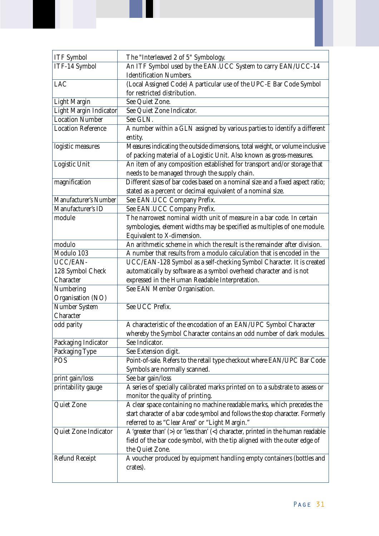| <b>ITF</b> Symbol         | The "Interleaved 2 of 5" Symbology.                                                  |
|---------------------------|--------------------------------------------------------------------------------------|
| ITF-14 Symbol             | An ITF Symbol used by the EAN.UCC System to carry EAN/UCC-14                         |
|                           | <b>Identification Numbers.</b>                                                       |
| <b>LAC</b>                | (Local Assigned Code) A particular use of the UPC-E Bar Code Symbol                  |
|                           | for restricted distribution.                                                         |
| <b>Light Margin</b>       | See Quiet Zone.                                                                      |
| Light Margin Indicator    | See Quiet Zone Indicator.                                                            |
| <b>Location Number</b>    | See GLN.                                                                             |
| <b>Location Reference</b> | A number within a GLN assigned by various parties to identify a different            |
|                           | entity.                                                                              |
| logistic measures         | Measures indicating the outside dimensions, total weight, or volume inclusive        |
|                           | of packing material of a Logistic Unit. Also known as gross-measures.                |
| Logistic Unit             | An item of any composition established for transport and/or storage that             |
|                           | needs to be managed through the supply chain.                                        |
| magnification             | Different sizes of bar codes based on a nominal size and a fixed aspect ratio;       |
|                           | stated as a percent or decimal equivalent of a nominal size.                         |
| Manufacturer's Number     | See EAN.UCC Company Prefix.                                                          |
| Manufacturer's ID         | See EAN.UCC Company Prefix.                                                          |
| module                    | The narrowest nominal width unit of measure in a bar code. In certain                |
|                           | symbologies, element widths may be specified as multiples of one module.             |
|                           | Equivalent to X-dimension.                                                           |
| modulo                    | An arithmetic scheme in which the result is the remainder after division.            |
| Modulo 103                | A number that results from a modulo calculation that is encoded in the               |
| <b>UCC/EAN-</b>           | UCC/EAN-128 Symbol as a self-checking Symbol Character. It is created                |
| 128 Symbol Check          | automatically by software as a symbol overhead character and is not                  |
| Character                 | expressed in the Human Readable Interpretation.                                      |
| Numbering                 | See EAN Member Organisation.                                                         |
| Organisation (NO)         |                                                                                      |
| Number System             | See UCC Prefix.                                                                      |
| Character                 |                                                                                      |
| odd parity                | A characteristic of the encodation of an EAN/UPC Symbol Character                    |
|                           | whereby the Symbol Character contains an odd number of dark modules.                 |
| Packaging Indicator       | See Indicator.                                                                       |
| Packaging Type            | See Extension digit.                                                                 |
| <b>POS</b>                | Point-of-sale. Refers to the retail type checkout where EAN/UPC Bar Code             |
|                           | Symbols are normally scanned.                                                        |
| print gain/loss           | See bar gain/loss                                                                    |
| printability gauge        | A series of specially calibrated marks printed on to a substrate to assess or        |
|                           | monitor the quality of printing.                                                     |
| Quiet Zone                | A clear space containing no machine readable marks, which precedes the               |
|                           | start character of a bar code symbol and follows the stop character. Formerly        |
|                           | referred to as "Clear Area" or "Light Margin."                                       |
| Quiet Zone Indicator      | A 'greater than' $(>)$ or 'less than' $(>)$ character, printed in the human readable |
|                           | field of the bar code symbol, with the tip aligned with the outer edge of            |
|                           | the Quiet Zone.                                                                      |
| <b>Refund Receipt</b>     | A voucher produced by equipment handling empty containers (bottles and               |
|                           | crates).                                                                             |
|                           |                                                                                      |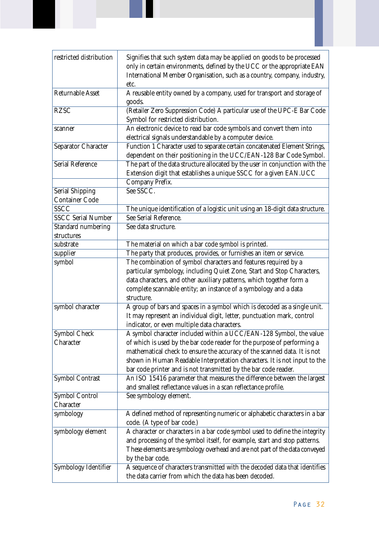| restricted distribution                         | Signifies that such system data may be applied on goods to be processed<br>only in certain environments, defined by the UCC or the appropriate EAN<br>International Member Organisation, such as a country, company, industry,<br>etc.                                                              |
|-------------------------------------------------|-----------------------------------------------------------------------------------------------------------------------------------------------------------------------------------------------------------------------------------------------------------------------------------------------------|
| <b>Returnable Asset</b>                         | A reusable entity owned by a company, used for transport and storage of<br>goods.                                                                                                                                                                                                                   |
| <b>RZSC</b>                                     | (Retailer Zero Suppression Code) A particular use of the UPC-E Bar Code<br>Symbol for restricted distribution.                                                                                                                                                                                      |
| scanner                                         | An electronic device to read bar code symbols and convert them into<br>electrical signals understandable by a computer device.                                                                                                                                                                      |
| Separator Character                             | Function 1 Character used to separate certain concatenated Element Strings,<br>dependent on their positioning in the UCC/EAN-128 Bar Code Symbol.                                                                                                                                                   |
| <b>Serial Reference</b>                         | The part of the data structure allocated by the user in conjunction with the<br>Extension digit that establishes a unique SSCC for a given EAN.UCC                                                                                                                                                  |
|                                                 | Company Prefix.                                                                                                                                                                                                                                                                                     |
| <b>Serial Shipping</b><br><b>Container Code</b> | See SSCC.                                                                                                                                                                                                                                                                                           |
| <b>SSCC</b>                                     | The unique identification of a logistic unit using an 18-digit data structure.                                                                                                                                                                                                                      |
| <b>SSCC Serial Number</b>                       | See Serial Reference.                                                                                                                                                                                                                                                                               |
| Standard numbering                              | See data structure.                                                                                                                                                                                                                                                                                 |
| structures                                      |                                                                                                                                                                                                                                                                                                     |
| substrate                                       | The material on which a bar code symbol is printed.                                                                                                                                                                                                                                                 |
| supplier                                        | The party that produces, provides, or furnishes an item or service.                                                                                                                                                                                                                                 |
| symbol                                          | The combination of symbol characters and features required by a<br>particular symbology, including Quiet Zone, Start and Stop Characters,<br>data characters, and other auxiliary patterns, which together form a<br>complete scannable entity; an instance of a symbology and a data<br>structure. |
| symbol character                                | A group of bars and spaces in a symbol which is decoded as a single unit.<br>It may represent an individual digit, letter, punctuation mark, control<br>indicator, or even multiple data characters.                                                                                                |
| Symbol Check                                    | A symbol character included within a UCC/EAN-128 Symbol, the value                                                                                                                                                                                                                                  |
| Character                                       | of which is used by the bar code reader for the purpose of performing a                                                                                                                                                                                                                             |
|                                                 | mathematical check to ensure the accuracy of the scanned data. It is not                                                                                                                                                                                                                            |
|                                                 | shown in Human Readable Interpretation characters. It is not input to the                                                                                                                                                                                                                           |
|                                                 | bar code printer and is not transmitted by the bar code reader.                                                                                                                                                                                                                                     |
| <b>Symbol Contrast</b>                          | An ISO 15416 parameter that measures the difference between the largest<br>and smallest reflectance values in a scan reflectance profile.                                                                                                                                                           |
| <b>Symbol Control</b>                           | See symbology element.                                                                                                                                                                                                                                                                              |
| Character                                       |                                                                                                                                                                                                                                                                                                     |
| symbology                                       | A defined method of representing numeric or alphabetic characters in a bar                                                                                                                                                                                                                          |
|                                                 | code. (A type of bar code.)                                                                                                                                                                                                                                                                         |
| symbology element                               | A character or characters in a bar code symbol used to define the integrity                                                                                                                                                                                                                         |
|                                                 | and processing of the symbol itself, for example, start and stop patterns.                                                                                                                                                                                                                          |
|                                                 | These elements are symbology overhead and are not part of the data conveyed                                                                                                                                                                                                                         |
|                                                 | by the bar code.                                                                                                                                                                                                                                                                                    |
| Symbology Identifier                            | A sequence of characters transmitted with the decoded data that identifies                                                                                                                                                                                                                          |
|                                                 | the data carrier from which the data has been decoded.                                                                                                                                                                                                                                              |